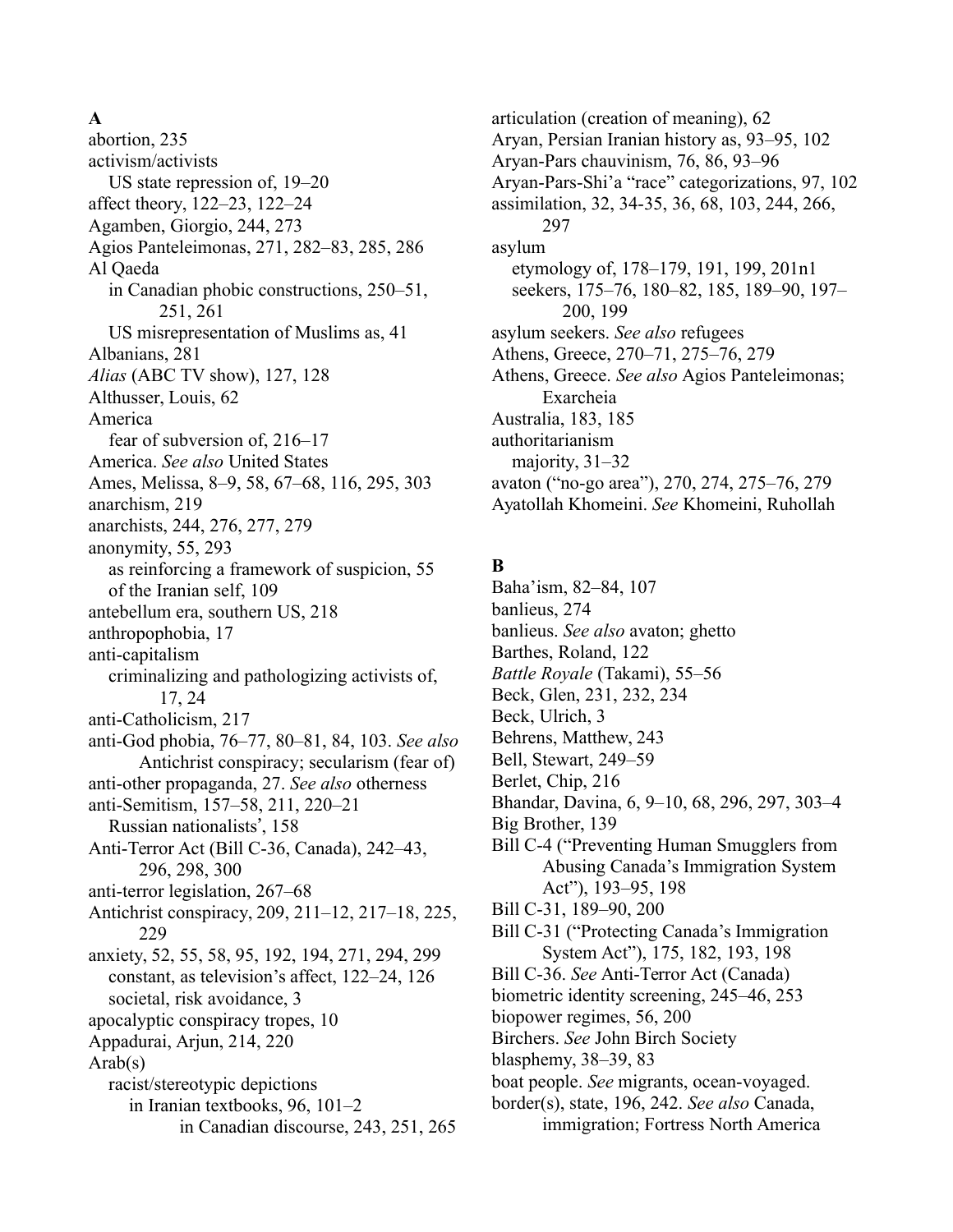#### **A**

abortion, 235 activism/activists US state repression of, 19–20 affect theory, 122–23, 122–24 Agamben, Giorgio, 244, 273 Agios Panteleimonas, 271, 282–83, 285, 286 Al Qaeda in Canadian phobic constructions, 250–51, 251, 261 US misrepresentation of Muslims as, 41 Albanians, 281 *Alias* (ABC TV show), 127, 128 Althusser, Louis, 62 America fear of subversion of, 216–17 America. *See also* United States Ames, Melissa, 8–9, 58, 67–68, 116, 295, 303 anarchism, 219 anarchists, 244, 276, 277, 279 anonymity, 55, 293 as reinforcing a framework of suspicion, 55 of the Iranian self, 109 antebellum era, southern US, 218 anthropophobia, 17 anti-capitalism criminalizing and pathologizing activists of, 17, 24 anti-Catholicism, 217 anti-God phobia, 76–77, 80–81, 84, 103. *See also* Antichrist conspiracy; secularism (fear of) anti-other propaganda, 27. *See also* otherness anti-Semitism, 157–58, 211, 220–21 Russian nationalists', 158 Anti-Terror Act (Bill C-36, Canada), 242–43, 296, 298, 300 anti-terror legislation, 267–68 Antichrist conspiracy, 209, 211–12, 217–18, 225, 229 anxiety, 52, 55, 58, 95, 192, 194, 271, 294, 299 constant, as television's affect, 122–24, 126 societal, risk avoidance, 3 apocalyptic conspiracy tropes, 10 Appadurai, Arjun, 214, 220 Arab(s) racist/stereotypic depictions in Iranian textbooks, 96, 101–2 in Canadian discourse, 243, 251, 265

articulation (creation of meaning), 62 Aryan, Persian Iranian history as, 93–95, 102 Aryan-Pars chauvinism, 76, 86, 93–96 Aryan-Pars-Shi'a "race" categorizations, 97, 102 assimilation, 32, 34-35, 36, 68, 103, 244, 266, 297 asylum etymology of, 178–179, 191, 199, 201n1 seekers, 175–76, 180–82, 185, 189–90, 197– 200, 199 asylum seekers. *See also* refugees Athens, Greece, 270–71, 275–76, 279 Athens, Greece. *See also* Agios Panteleimonas; Exarcheia Australia, 183, 185 authoritarianism majority, 31–32 avaton ("no-go area"), 270, 274, 275–76, 279 Ayatollah Khomeini. *See* Khomeini, Ruhollah

### **B**

Baha'ism, 82–84, 107 banlieus, 274 banlieus. *See also* avaton; ghetto Barthes, Roland, 122 *Battle Royale* (Takami), 55–56 Beck, Glen, 231, 232, 234 Beck, Ulrich, 3 Behrens, Matthew, 243 Bell, Stewart, 249–59 Berlet, Chip, 216 Bhandar, Davina, 6, 9–10, 68, 296, 297, 303–4 Big Brother, 139 Bill C-4 ("Preventing Human Smugglers from Abusing Canada's Immigration System Act"), 193–95, 198 Bill C-31, 189–90, 200 Bill C-31 ("Protecting Canada's Immigration System Act"), 175, 182, 193, 198 Bill C-36. *See* Anti-Terror Act (Canada) biometric identity screening, 245–46, 253 biopower regimes, 56, 200 Birchers. *See* John Birch Society blasphemy, 38–39, 83 boat people. *See* migrants, ocean-voyaged. border(s), state, 196, 242. *See also* Canada, immigration; Fortress North America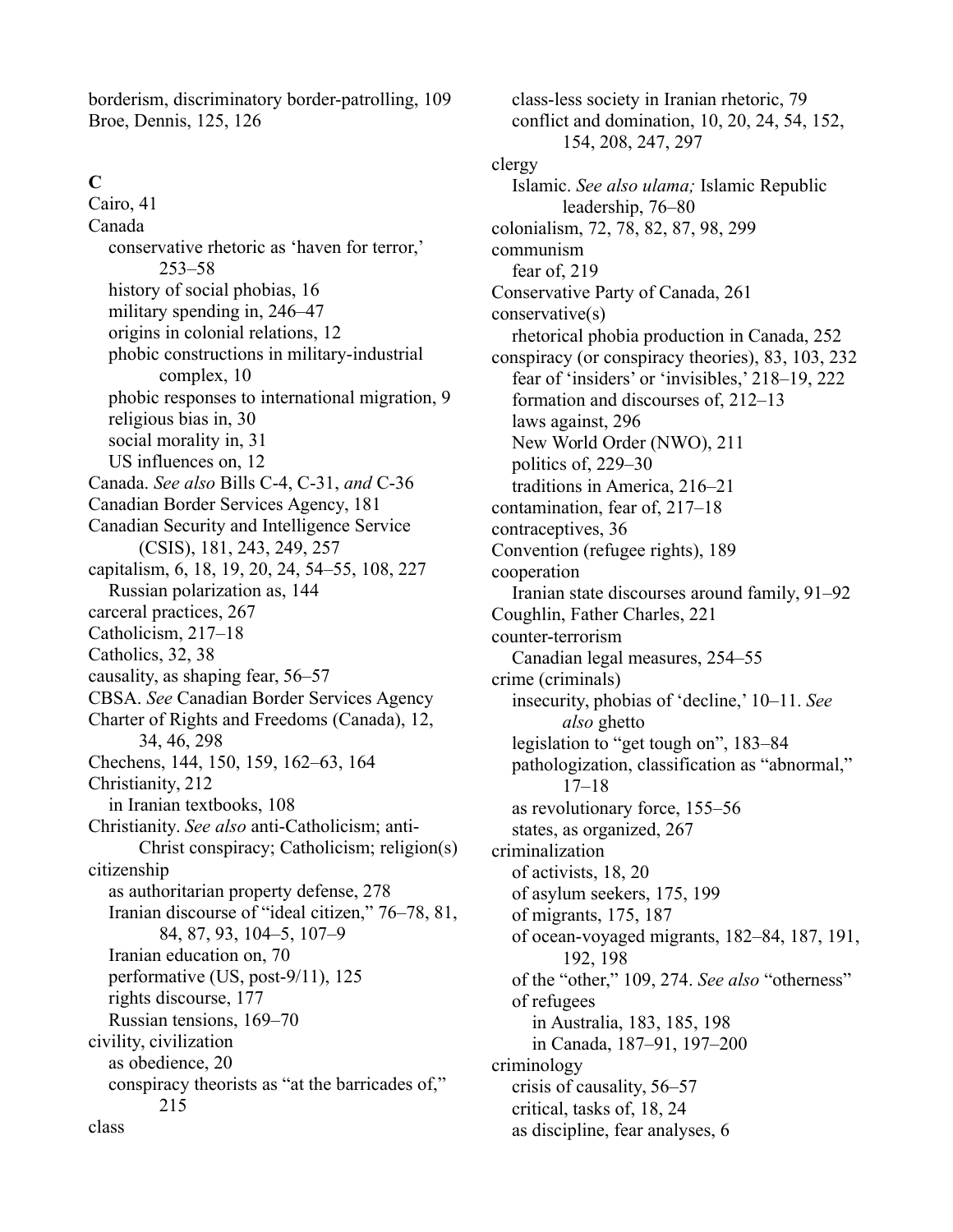borderism, discriminatory border-patrolling, 109 Broe, Dennis, 125, 126

### **C**

Cairo, 41 Canada conservative rhetoric as 'haven for terror,' 253–58 history of social phobias, 16 military spending in, 246–47 origins in colonial relations, 12 phobic constructions in military-industrial complex, 10 phobic responses to international migration, 9 religious bias in, 30 social morality in, 31 US influences on, 12 Canada. *See also* Bills C-4, C-31, *and* C-36 Canadian Border Services Agency, 181 Canadian Security and Intelligence Service (CSIS), 181, 243, 249, 257 capitalism, 6, 18, 19, 20, 24, 54–55, 108, 227 Russian polarization as, 144 carceral practices, 267 Catholicism, 217–18 Catholics, 32, 38 causality, as shaping fear, 56–57 CBSA. *See* Canadian Border Services Agency Charter of Rights and Freedoms (Canada), 12, 34, 46, 298 Chechens, 144, 150, 159, 162–63, 164 Christianity, 212 in Iranian textbooks, 108 Christianity. *See also* anti-Catholicism; anti-Christ conspiracy; Catholicism; religion(s) citizenship as authoritarian property defense, 278 Iranian discourse of "ideal citizen," 76–78, 81, 84, 87, 93, 104–5, 107–9 Iranian education on, 70 performative (US, post-9/11), 125 rights discourse, 177 Russian tensions, 169–70 civility, civilization as obedience, 20 conspiracy theorists as "at the barricades of," 215 class

class-less society in Iranian rhetoric, 79 conflict and domination, 10, 20, 24, 54, 152, 154, 208, 247, 297 clergy Islamic. *See also ulama;* Islamic Republic leadership, 76–80 colonialism, 72, 78, 82, 87, 98, 299 communism fear of, 219 Conservative Party of Canada, 261 conservative(s) rhetorical phobia production in Canada, 252 conspiracy (or conspiracy theories), 83, 103, 232 fear of 'insiders' or 'invisibles,' 218–19, 222 formation and discourses of, 212–13 laws against, 296 New World Order (NWO), 211 politics of, 229–30 traditions in America, 216–21 contamination, fear of, 217–18 contraceptives, 36 Convention (refugee rights), 189 cooperation Iranian state discourses around family, 91–92 Coughlin, Father Charles, 221 counter-terrorism Canadian legal measures, 254–55 crime (criminals) insecurity, phobias of 'decline,' 10–11. *See also* ghetto legislation to "get tough on", 183–84 pathologization, classification as "abnormal," 17–18 as revolutionary force, 155–56 states, as organized, 267 criminalization of activists, 18, 20 of asylum seekers, 175, 199 of migrants, 175, 187 of ocean-voyaged migrants, 182–84, 187, 191, 192, 198 of the "other," 109, 274. *See also* "otherness" of refugees in Australia, 183, 185, 198 in Canada, 187–91, 197–200 criminology crisis of causality, 56–57 critical, tasks of, 18, 24 as discipline, fear analyses, 6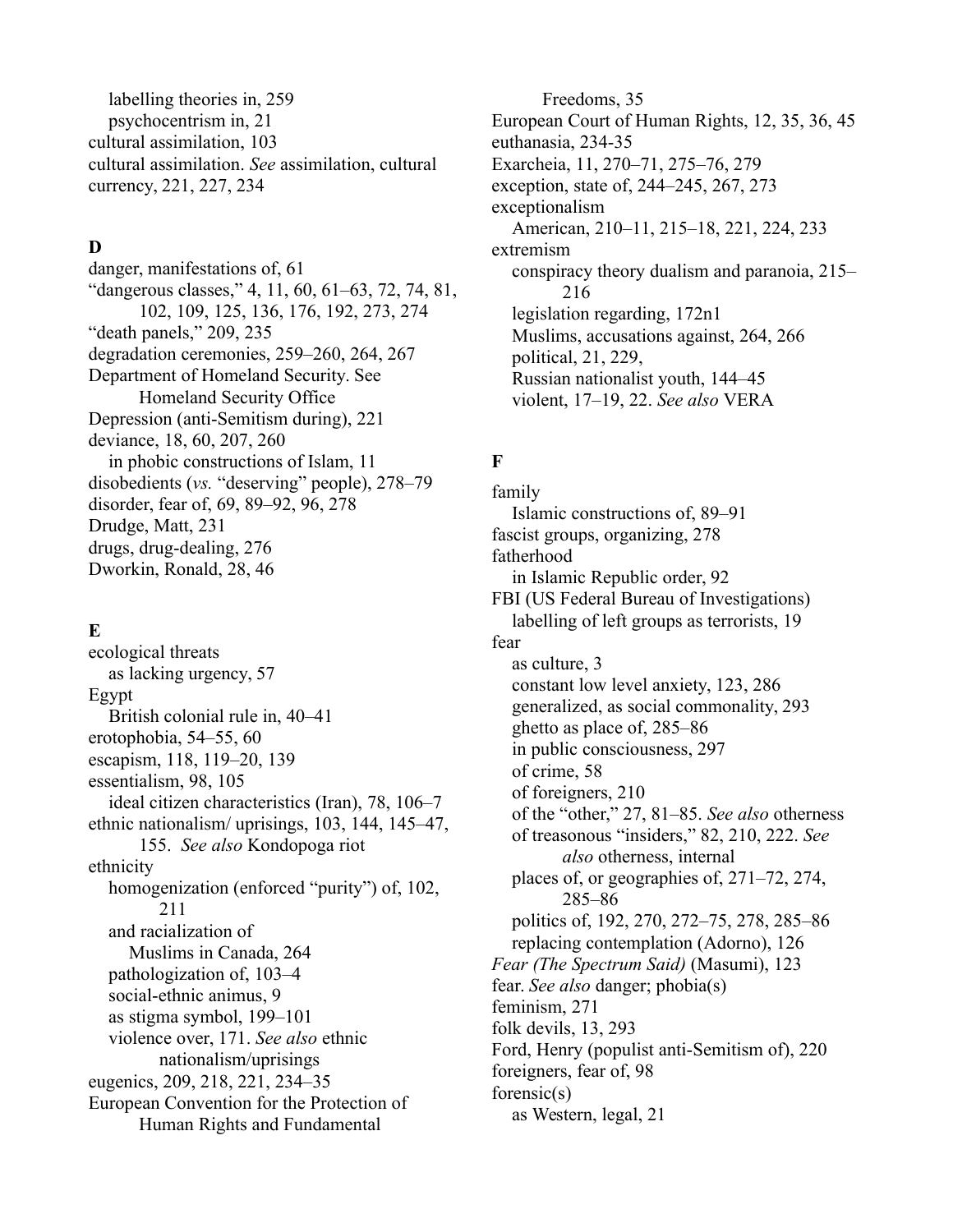labelling theories in, 259 psychocentrism in, 21 cultural assimilation, 103 cultural assimilation. *See* assimilation, cultural currency, 221, 227, 234

### **D**

danger, manifestations of, 61 "dangerous classes," 4, 11, 60, 61–63, 72, 74, 81, 102, 109, 125, 136, 176, 192, 273, 274 "death panels," 209, 235 degradation ceremonies, 259–260, 264, 267 Department of Homeland Security. See Homeland Security Office Depression (anti-Semitism during), 221 deviance, 18, 60, 207, 260 in phobic constructions of Islam, 11 disobedients (*vs.* "deserving" people), 278–79 disorder, fear of, 69, 89–92, 96, 278 Drudge, Matt, 231 drugs, drug-dealing, 276 Dworkin, Ronald, 28, 46

#### **E**

ecological threats as lacking urgency, 57 Egypt British colonial rule in, 40–41 erotophobia, 54–55, 60 escapism, 118, 119–20, 139 essentialism, 98, 105 ideal citizen characteristics (Iran), 78, 106–7 ethnic nationalism/ uprisings, 103, 144, 145–47, 155. *See also* Kondopoga riot ethnicity homogenization (enforced "purity") of, 102, 211 and racialization of Muslims in Canada, 264 pathologization of, 103–4 social-ethnic animus, 9 as stigma symbol, 199–101 violence over, 171. *See also* ethnic nationalism/uprisings eugenics, 209, 218, 221, 234–35 European Convention for the Protection of Human Rights and Fundamental

Freedoms, 35 European Court of Human Rights, 12, 35, 36, 45 euthanasia, 234-35 Exarcheia, 11, 270–71, 275–76, 279 exception, state of, 244–245, 267, 273 exceptionalism American, 210–11, 215–18, 221, 224, 233 extremism conspiracy theory dualism and paranoia, 215– 216 legislation regarding, 172n1 Muslims, accusations against, 264, 266 political, 21, 229, Russian nationalist youth, 144–45 violent, 17–19, 22. *See also* VERA

# **F**

family Islamic constructions of, 89–91 fascist groups, organizing, 278 fatherhood in Islamic Republic order, 92 FBI (US Federal Bureau of Investigations) labelling of left groups as terrorists, 19 fear as culture, 3 constant low level anxiety, 123, 286 generalized, as social commonality, 293 ghetto as place of, 285–86 in public consciousness, 297 of crime, 58 of foreigners, 210 of the "other," 27, 81–85. *See also* otherness of treasonous "insiders," 82, 210, 222. *See also* otherness, internal places of, or geographies of, 271–72, 274, 285–86 politics of, 192, 270, 272–75, 278, 285–86 replacing contemplation (Adorno), 126 *Fear (The Spectrum Said)* (Masumi), 123 fear. *See also* danger; phobia(s) feminism, 271 folk devils, 13, 293 Ford, Henry (populist anti-Semitism of), 220 foreigners, fear of, 98 forensic(s) as Western, legal, 21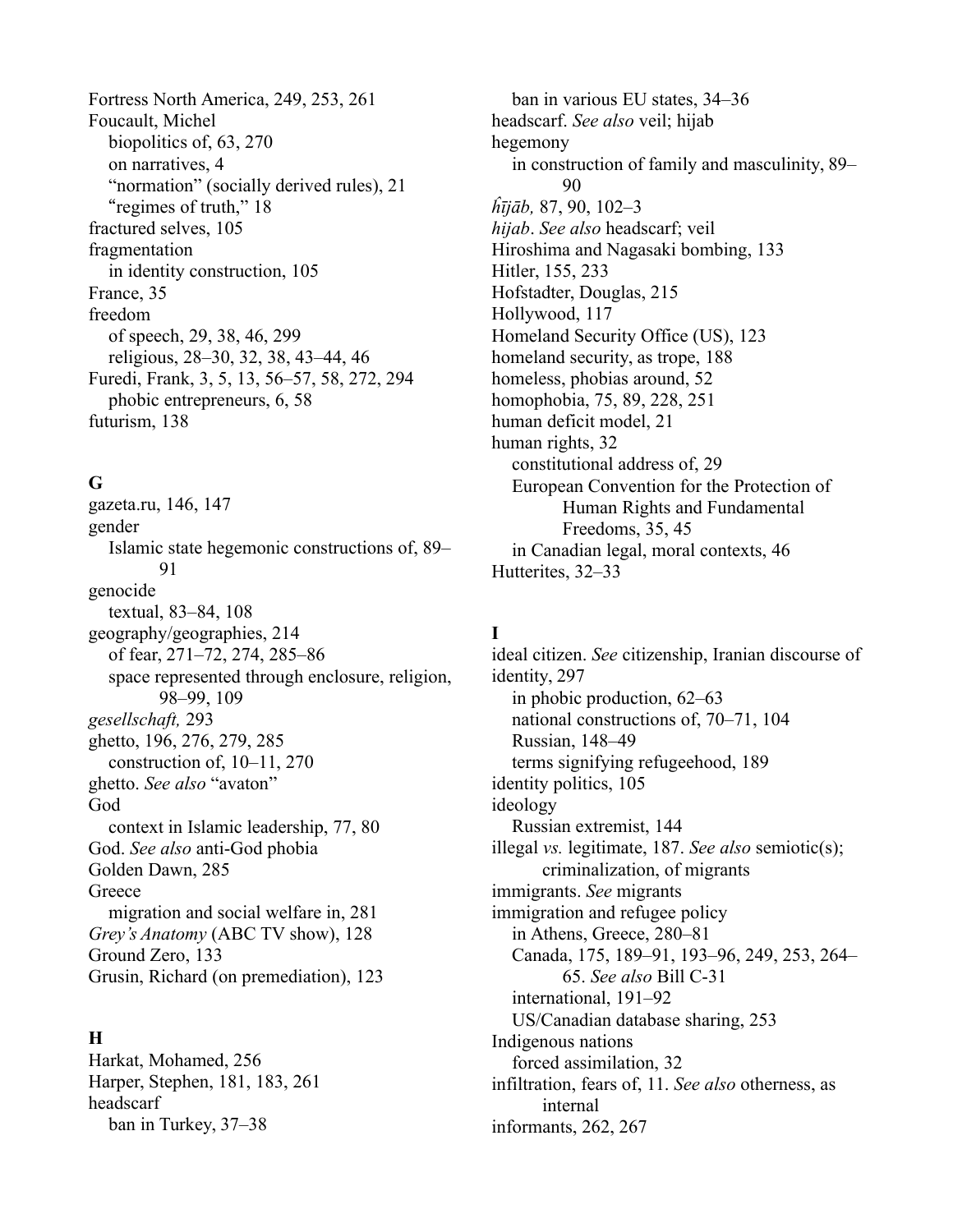Fortress North America, 249, 253, 261 Foucault, Michel biopolitics of, 63, 270 on narratives, 4 "normation" (socially derived rules), 21 "regimes of truth," 18 fractured selves, 105 fragmentation in identity construction, 105 France, 35 freedom of speech, 29, 38, 46, 299 religious, 28–30, 32, 38, 43–44, 46 Furedi, Frank, 3, 5, 13, 56–57, 58, 272, 294 phobic entrepreneurs, 6, 58 futurism, 138

#### **G**

gazeta.ru, 146, 147 gender Islamic state hegemonic constructions of, 89– 91 genocide textual, 83–84, 108 geography/geographies, 214 of fear, 271–72, 274, 285–86 space represented through enclosure, religion, 98–99, 109 *gesellschaft,* 293 ghetto, 196, 276, 279, 285 construction of, 10–11, 270 ghetto. *See also* "avaton" God context in Islamic leadership, 77, 80 God. *See also* anti-God phobia Golden Dawn, 285 **Greece** migration and social welfare in, 281 *Grey's Anatomy* (ABC TV show), 128 Ground Zero, 133 Grusin, Richard (on premediation), 123

#### **H**

Harkat, Mohamed, 256 Harper, Stephen, 181, 183, 261 headscarf ban in Turkey, 37–38

ban in various EU states, 34–36 headscarf. *See also* veil; hijab hegemony in construction of family and masculinity, 89–  $90$ *ĥījāb,* 87, 90, 102–3 *hijab*. *See also* headscarf; veil Hiroshima and Nagasaki bombing, 133 Hitler, 155, 233 Hofstadter, Douglas, 215 Hollywood, 117 Homeland Security Office (US), 123 homeland security, as trope, 188 homeless, phobias around, 52 homophobia, 75, 89, 228, 251 human deficit model, 21 human rights, 32 constitutional address of, 29 European Convention for the Protection of Human Rights and Fundamental Freedoms, 35, 45 in Canadian legal, moral contexts, 46 Hutterites, 32–33

#### **I**

ideal citizen. *See* citizenship, Iranian discourse of identity, 297 in phobic production, 62–63 national constructions of, 70–71, 104 Russian, 148–49 terms signifying refugeehood, 189 identity politics, 105 ideology Russian extremist, 144 illegal *vs.* legitimate, 187. *See also* semiotic(s); criminalization, of migrants immigrants. *See* migrants immigration and refugee policy in Athens, Greece, 280–81 Canada, 175, 189–91, 193–96, 249, 253, 264– 65. *See also* Bill C-31 international, 191–92 US/Canadian database sharing, 253 Indigenous nations forced assimilation, 32 infiltration, fears of, 11. *See also* otherness, as internal informants, 262, 267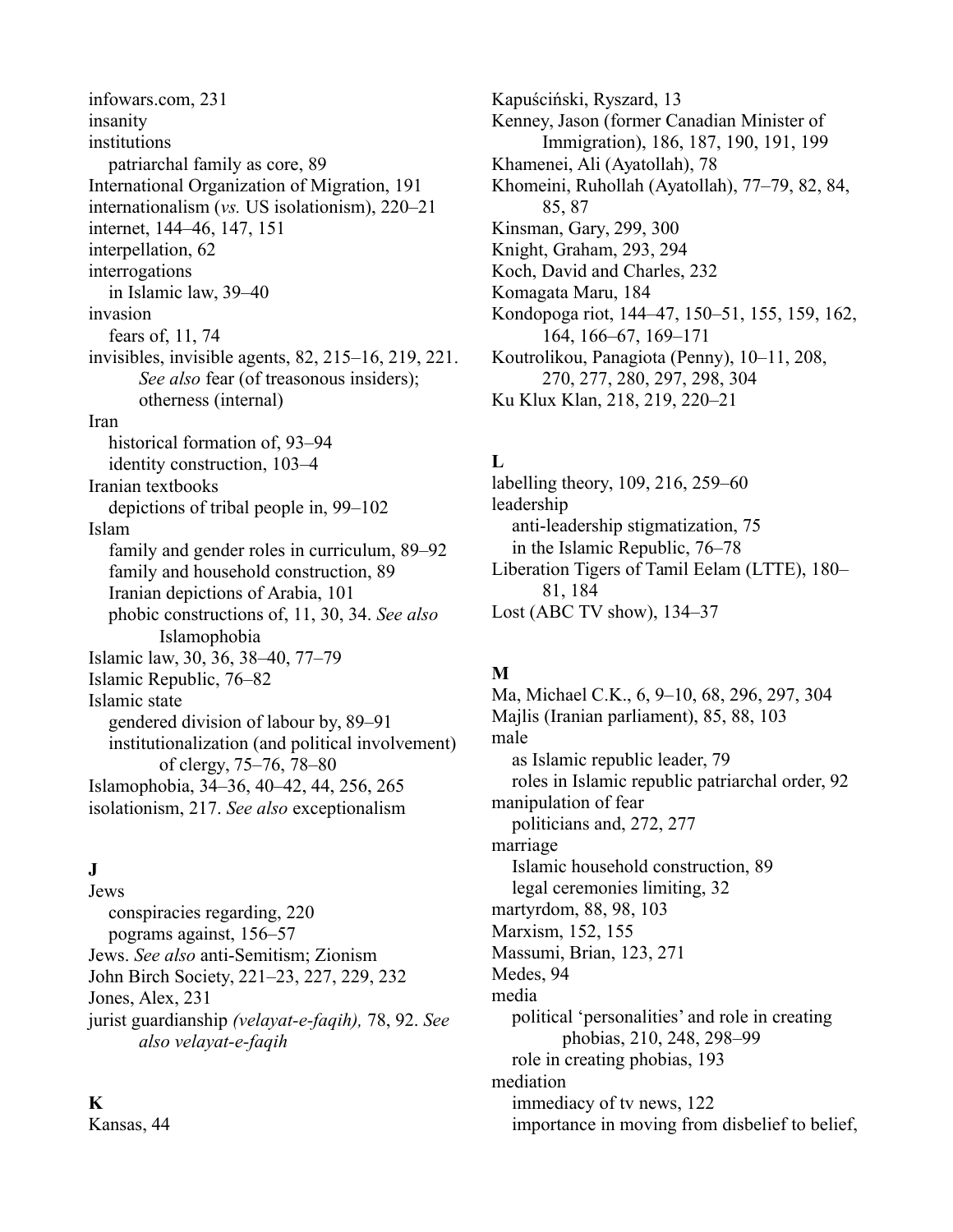infowars.com, 231 insanity institutions patriarchal family as core, 89 International Organization of Migration, 191 internationalism (*vs.* US isolationism), 220–21 internet, 144–46, 147, 151 interpellation, 62 interrogations in Islamic law, 39–40 invasion fears of, 11, 74 invisibles, invisible agents, 82, 215–16, 219, 221. *See also* fear (of treasonous insiders); otherness (internal) Iran historical formation of, 93–94 identity construction, 103–4 Iranian textbooks depictions of tribal people in, 99–102 Islam family and gender roles in curriculum, 89–92 family and household construction, 89 Iranian depictions of Arabia, 101 phobic constructions of, 11, 30, 34. *See also* Islamophobia Islamic law, 30, 36, 38–40, 77–79 Islamic Republic, 76–82 Islamic state gendered division of labour by, 89–91 institutionalization (and political involvement) of clergy, 75–76, 78–80 Islamophobia, 34–36, 40–42, 44, 256, 265 isolationism, 217. *See also* exceptionalism

## **J**

Jews conspiracies regarding, 220 pograms against, 156–57 Jews. *See also* anti-Semitism; Zionism John Birch Society, 221–23, 227, 229, 232 Jones, Alex, 231 jurist guardianship *(velayat-e-faqih),* 78, 92. *See also velayat-e-faqih*

#### **K**

Kansas, 44

Kapuściński, Ryszard, 13 Kenney, Jason (former Canadian Minister of Immigration), 186, 187, 190, 191, 199 Khamenei, Ali (Ayatollah), 78 Khomeini, Ruhollah (Ayatollah), 77–79, 82, 84, 85, 87 Kinsman, Gary, 299, 300 Knight, Graham, 293, 294 Koch, David and Charles, 232 Komagata Maru, 184 Kondopoga riot, 144–47, 150–51, 155, 159, 162, 164, 166–67, 169–171 Koutrolikou, Panagiota (Penny), 10–11, 208, 270, 277, 280, 297, 298, 304 Ku Klux Klan, 218, 219, 220–21

## **L**

labelling theory, 109, 216, 259–60 leadership anti-leadership stigmatization, 75 in the Islamic Republic, 76–78 Liberation Tigers of Tamil Eelam (LTTE), 180– 81, 184 Lost (ABC TV show), 134–37

## **M**

Ma, Michael C.K., 6, 9–10, 68, 296, 297, 304 Majlis (Iranian parliament), 85, 88, 103 male as Islamic republic leader, 79 roles in Islamic republic patriarchal order, 92 manipulation of fear politicians and, 272, 277 marriage Islamic household construction, 89 legal ceremonies limiting, 32 martyrdom, 88, 98, 103 Marxism, 152, 155 Massumi, Brian, 123, 271 Medes, 94 media political 'personalities' and role in creating phobias, 210, 248, 298–99 role in creating phobias, 193 mediation immediacy of tv news, 122

importance in moving from disbelief to belief,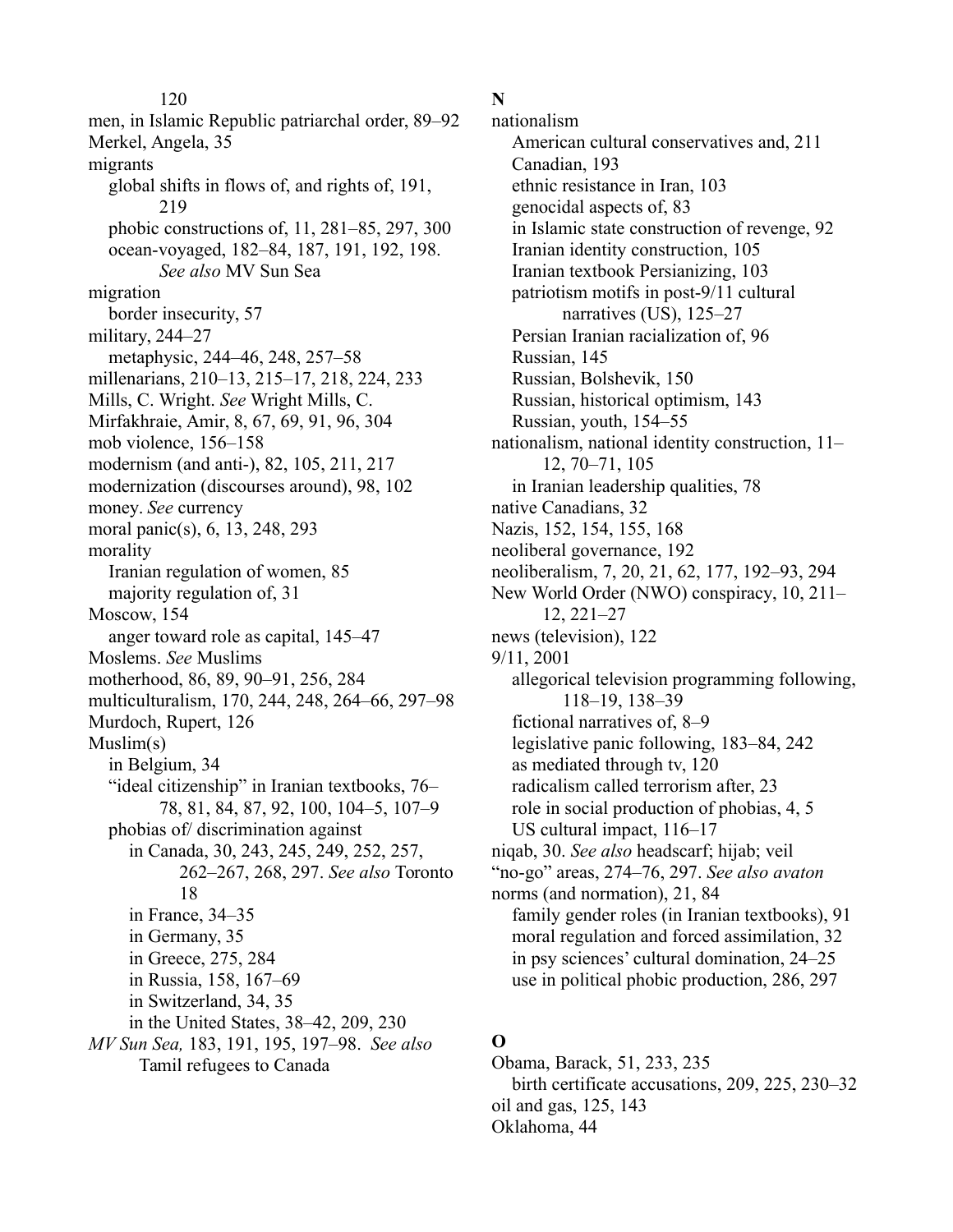120 men, in Islamic Republic patriarchal order, 89–92 Merkel, Angela, 35 migrants global shifts in flows of, and rights of, 191, 219 phobic constructions of, 11, 281–85, 297, 300 ocean-voyaged, 182–84, 187, 191, 192, 198. *See also* MV Sun Sea migration border insecurity, 57 military, 244–27 metaphysic, 244–46, 248, 257–58 millenarians, 210–13, 215–17, 218, 224, 233 Mills, C. Wright. *See* Wright Mills, C. Mirfakhraie, Amir, 8, 67, 69, 91, 96, 304 mob violence, 156–158 modernism (and anti-), 82, 105, 211, 217 modernization (discourses around), 98, 102 money. *See* currency moral panic(s), 6, 13, 248, 293 morality Iranian regulation of women, 85 majority regulation of, 31 Moscow, 154 anger toward role as capital, 145–47 Moslems. *See* Muslims motherhood, 86, 89, 90–91, 256, 284 multiculturalism, 170, 244, 248, 264–66, 297–98 Murdoch, Rupert, 126 Muslim(s) in Belgium, 34 "ideal citizenship" in Iranian textbooks, 76– 78, 81, 84, 87, 92, 100, 104–5, 107–9 phobias of/ discrimination against in Canada, 30, 243, 245, 249, 252, 257, 262–267, 268, 297. *See also* Toronto 18 in France, 34–35 in Germany, 35 in Greece, 275, 284 in Russia, 158, 167–69 in Switzerland, 34, 35 in the United States, 38–42, 209, 230 *MV Sun Sea,* 183, 191, 195, 197–98. *See also* Tamil refugees to Canada

#### **N**

nationalism American cultural conservatives and, 211 Canadian, 193 ethnic resistance in Iran, 103 genocidal aspects of, 83 in Islamic state construction of revenge, 92 Iranian identity construction, 105 Iranian textbook Persianizing, 103 patriotism motifs in post-9/11 cultural narratives (US), 125–27 Persian Iranian racialization of, 96 Russian, 145 Russian, Bolshevik, 150 Russian, historical optimism, 143 Russian, youth, 154–55 nationalism, national identity construction, 11– 12, 70–71, 105 in Iranian leadership qualities, 78 native Canadians, 32 Nazis, 152, 154, 155, 168 neoliberal governance, 192 neoliberalism, 7, 20, 21, 62, 177, 192–93, 294 New World Order (NWO) conspiracy, 10, 211– 12, 221–27 news (television), 122 9/11, 2001 allegorical television programming following, 118–19, 138–39 fictional narratives of, 8–9 legislative panic following, 183–84, 242 as mediated through tv, 120 radicalism called terrorism after, 23 role in social production of phobias, 4, 5 US cultural impact, 116–17 niqab, 30. *See also* headscarf; hijab; veil "no-go" areas, 274–76, 297. *See also avaton* norms (and normation), 21, 84 family gender roles (in Iranian textbooks), 91 moral regulation and forced assimilation, 32 in psy sciences' cultural domination, 24–25 use in political phobic production, 286, 297

# **O**

Obama, Barack, 51, 233, 235 birth certificate accusations, 209, 225, 230–32 oil and gas, 125, 143 Oklahoma, 44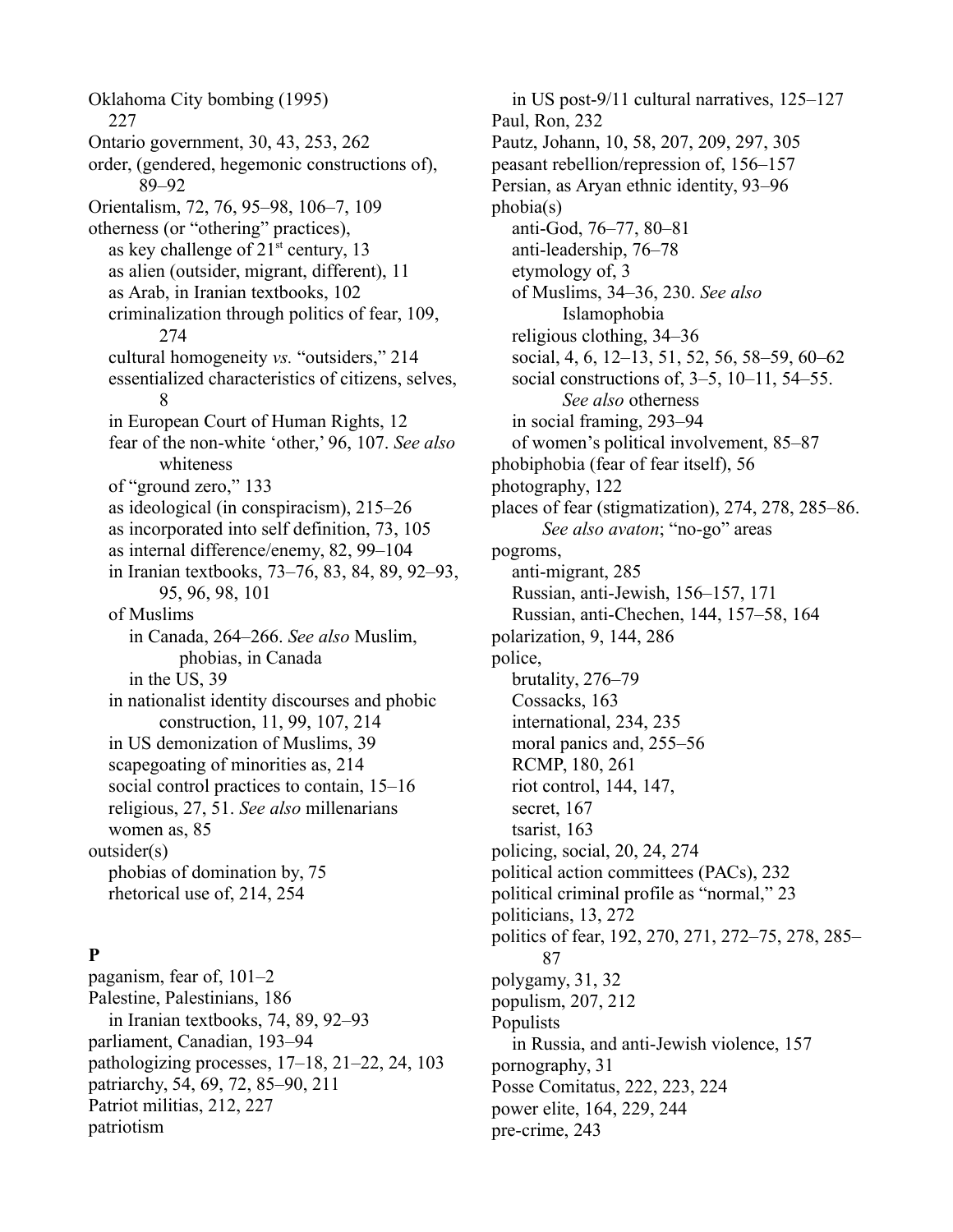Oklahoma City bombing (1995) 227 Ontario government, 30, 43, 253, 262 order, (gendered, hegemonic constructions of), 89–92 Orientalism, 72, 76, 95–98, 106–7, 109 otherness (or "othering" practices), as key challenge of  $21<sup>st</sup>$  century, 13 as alien (outsider, migrant, different), 11 as Arab, in Iranian textbooks, 102 criminalization through politics of fear, 109, 274 cultural homogeneity *vs.* "outsiders," 214 essentialized characteristics of citizens, selves, 8 in European Court of Human Rights, 12 fear of the non-white 'other,' 96, 107. *See also* whiteness of "ground zero," 133 as ideological (in conspiracism), 215–26 as incorporated into self definition, 73, 105 as internal difference/enemy, 82, 99–104 in Iranian textbooks, 73–76, 83, 84, 89, 92–93, 95, 96, 98, 101 of Muslims in Canada, 264–266. *See also* Muslim, phobias, in Canada in the US, 39 in nationalist identity discourses and phobic construction, 11, 99, 107, 214 in US demonization of Muslims, 39 scapegoating of minorities as, 214 social control practices to contain, 15–16 religious, 27, 51. *See also* millenarians women as, 85 outsider(s) phobias of domination by, 75 rhetorical use of, 214, 254

#### **P**

paganism, fear of, 101–2 Palestine, Palestinians, 186 in Iranian textbooks, 74, 89, 92–93 parliament, Canadian, 193–94 pathologizing processes, 17–18, 21–22, 24, 103 patriarchy, 54, 69, 72, 85–90, 211 Patriot militias, 212, 227 patriotism

in US post-9/11 cultural narratives, 125–127 Paul, Ron, 232 Pautz, Johann, 10, 58, 207, 209, 297, 305 peasant rebellion/repression of, 156–157 Persian, as Aryan ethnic identity, 93–96 phobia(s) anti-God, 76–77, 80–81 anti-leadership, 76–78 etymology of, 3 of Muslims, 34–36, 230. *See also* Islamophobia religious clothing, 34–36 social, 4, 6, 12–13, 51, 52, 56, 58–59, 60–62 social constructions of, 3–5, 10–11, 54–55. *See also* otherness in social framing, 293–94 of women's political involvement, 85–87 phobiphobia (fear of fear itself), 56 photography, 122 places of fear (stigmatization), 274, 278, 285–86. *See also avaton*; "no-go" areas pogroms, anti-migrant, 285 Russian, anti-Jewish, 156–157, 171 Russian, anti-Chechen, 144, 157–58, 164 polarization, 9, 144, 286 police, brutality, 276–79 Cossacks, 163 international, 234, 235 moral panics and, 255–56 RCMP, 180, 261 riot control, 144, 147, secret, 167 tsarist, 163 policing, social, 20, 24, 274 political action committees (PACs), 232 political criminal profile as "normal," 23 politicians, 13, 272 politics of fear, 192, 270, 271, 272–75, 278, 285– 87 polygamy, 31, 32 populism, 207, 212 Populists in Russia, and anti-Jewish violence, 157 pornography, 31 Posse Comitatus, 222, 223, 224 power elite, 164, 229, 244 pre-crime, 243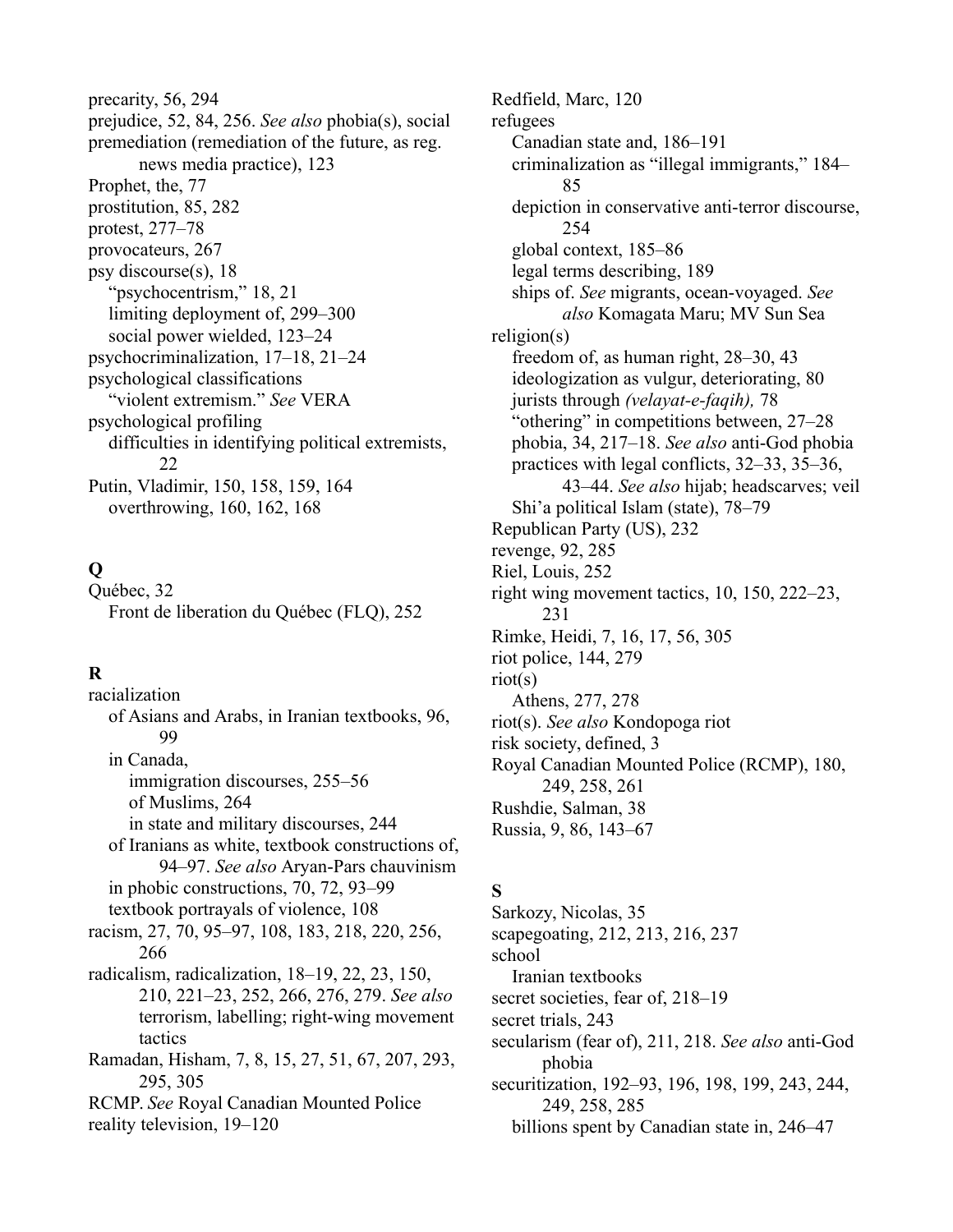precarity, 56, 294 prejudice, 52, 84, 256. *See also* phobia(s), social premediation (remediation of the future, as reg. news media practice), 123 Prophet, the, 77 prostitution, 85, 282 protest, 277–78 provocateurs, 267 psy discourse(s), 18 "psychocentrism," 18, 21 limiting deployment of, 299–300 social power wielded, 123–24 psychocriminalization, 17–18, 21–24 psychological classifications "violent extremism." *See* VERA psychological profiling difficulties in identifying political extremists, 22 Putin, Vladimir, 150, 158, 159, 164 overthrowing, 160, 162, 168

## **Q**

Québec, 32 Front de liberation du Québec (FLQ), 252

### **R**

racialization of Asians and Arabs, in Iranian textbooks, 96, 99 in Canada, immigration discourses, 255–56 of Muslims, 264 in state and military discourses, 244 of Iranians as white, textbook constructions of, 94–97. *See also* Aryan-Pars chauvinism in phobic constructions, 70, 72, 93–99 textbook portrayals of violence, 108 racism, 27, 70, 95–97, 108, 183, 218, 220, 256, 266 radicalism, radicalization, 18–19, 22, 23, 150, 210, 221–23, 252, 266, 276, 279. *See also* terrorism, labelling; right-wing movement tactics Ramadan, Hisham, 7, 8, 15, 27, 51, 67, 207, 293, 295, 305 RCMP. *See* Royal Canadian Mounted Police reality television, 19–120

Redfield, Marc, 120 refugees Canadian state and, 186–191 criminalization as "illegal immigrants," 184– 85 depiction in conservative anti-terror discourse, 254 global context, 185–86 legal terms describing, 189 ships of. *See* migrants, ocean-voyaged. *See also* Komagata Maru; MV Sun Sea religion(s) freedom of, as human right, 28–30, 43 ideologization as vulgur, deteriorating, 80 jurists through *(velayat-e-faqih),* 78 "othering" in competitions between, 27–28 phobia, 34, 217–18. *See also* anti-God phobia practices with legal conflicts, 32–33, 35–36, 43–44. *See also* hijab; headscarves; veil Shi'a political Islam (state), 78–79 Republican Party (US), 232 revenge, 92, 285 Riel, Louis, 252 right wing movement tactics, 10, 150, 222–23, 231 Rimke, Heidi, 7, 16, 17, 56, 305 riot police, 144, 279 riot(s) Athens, 277, 278 riot(s). *See also* Kondopoga riot risk society, defined, 3 Royal Canadian Mounted Police (RCMP), 180, 249, 258, 261 Rushdie, Salman, 38 Russia, 9, 86, 143–67

### **S**

Sarkozy, Nicolas, 35 scapegoating, 212, 213, 216, 237 school Iranian textbooks secret societies, fear of, 218–19 secret trials, 243 secularism (fear of), 211, 218. *See also* anti-God phobia securitization, 192–93, 196, 198, 199, 243, 244, 249, 258, 285 billions spent by Canadian state in, 246–47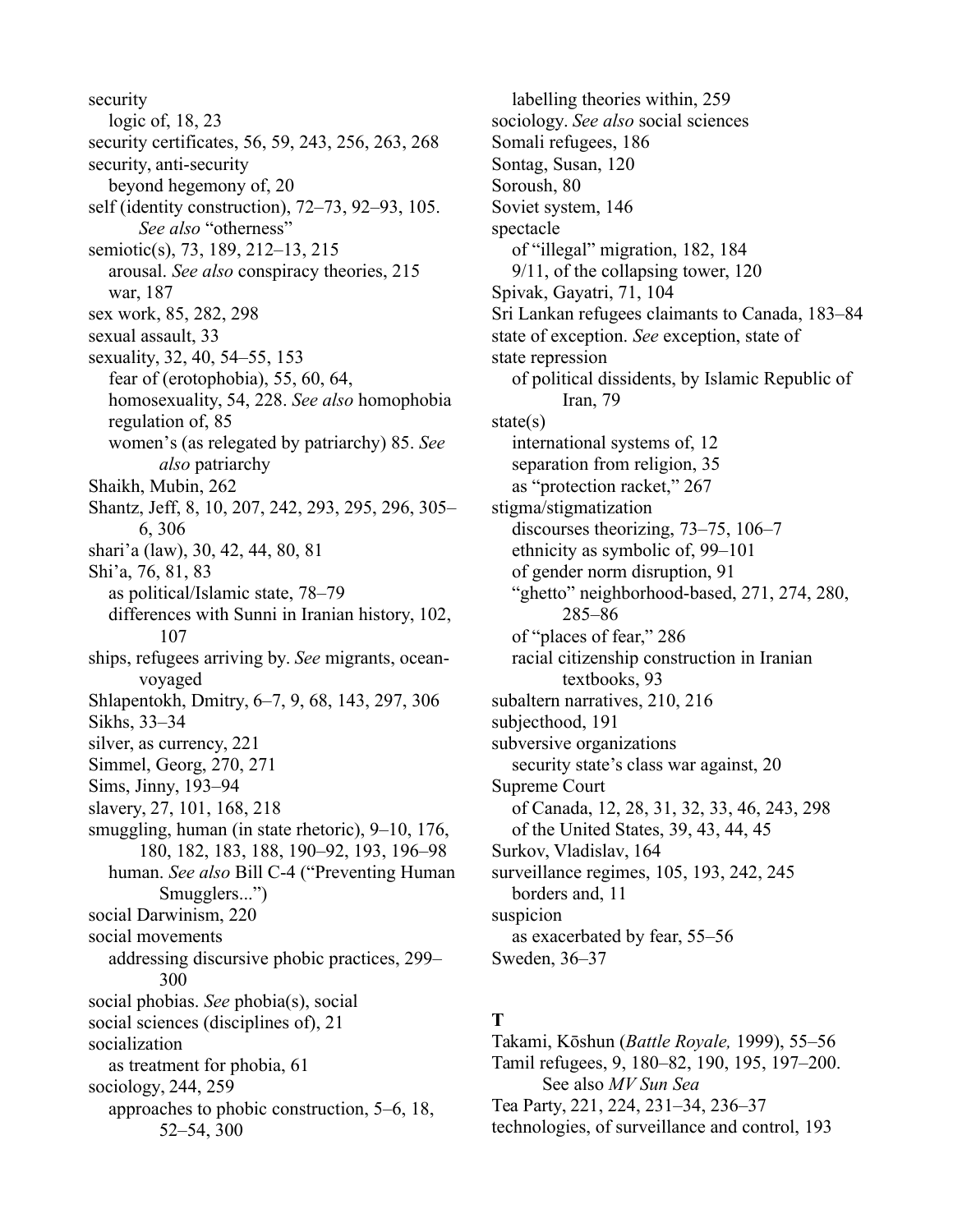security logic of, 18, 23 security certificates, 56, 59, 243, 256, 263, 268 security, anti-security beyond hegemony of, 20 self (identity construction), 72–73, 92–93, 105. *See also* "otherness" semiotic(s), 73, 189, 212–13, 215 arousal. *See also* conspiracy theories, 215 war, 187 sex work, 85, 282, 298 sexual assault, 33 sexuality, 32, 40, 54–55, 153 fear of (erotophobia), 55, 60, 64, homosexuality, 54, 228. *See also* homophobia regulation of, 85 women's (as relegated by patriarchy) 85. *See also* patriarchy Shaikh, Mubin, 262 Shantz, Jeff, 8, 10, 207, 242, 293, 295, 296, 305– 6, 306 shari'a (law), 30, 42, 44, 80, 81 Shi'a, 76, 81, 83 as political/Islamic state, 78–79 differences with Sunni in Iranian history, 102, 107 ships, refugees arriving by. *See* migrants, oceanvoyaged Shlapentokh, Dmitry, 6–7, 9, 68, 143, 297, 306 Sikhs, 33–34 silver, as currency, 221 Simmel, Georg, 270, 271 Sims, Jinny, 193–94 slavery, 27, 101, 168, 218 smuggling, human (in state rhetoric), 9–10, 176, 180, 182, 183, 188, 190–92, 193, 196–98 human. *See also* Bill C-4 ("Preventing Human Smugglers...") social Darwinism, 220 social movements addressing discursive phobic practices, 299– 300 social phobias. *See* phobia(s), social social sciences (disciplines of), 21 socialization as treatment for phobia, 61 sociology, 244, 259 approaches to phobic construction, 5–6, 18, 52–54, 300

labelling theories within, 259 sociology. *See also* social sciences Somali refugees, 186 Sontag, Susan, 120 Soroush, 80 Soviet system, 146 spectacle of "illegal" migration, 182, 184 9/11, of the collapsing tower, 120 Spivak, Gayatri, 71, 104 Sri Lankan refugees claimants to Canada, 183–84 state of exception. *See* exception, state of state repression of political dissidents, by Islamic Republic of Iran, 79 state(s) international systems of, 12 separation from religion, 35 as "protection racket," 267 stigma/stigmatization discourses theorizing, 73–75, 106–7 ethnicity as symbolic of, 99–101 of gender norm disruption, 91 "ghetto" neighborhood-based, 271, 274, 280, 285–86 of "places of fear," 286 racial citizenship construction in Iranian textbooks, 93 subaltern narratives, 210, 216 subjecthood, 191 subversive organizations security state's class war against, 20 Supreme Court of Canada, 12, 28, 31, 32, 33, 46, 243, 298 of the United States, 39, 43, 44, 45 Surkov, Vladislav, 164 surveillance regimes, 105, 193, 242, 245 borders and, 11 suspicion as exacerbated by fear, 55–56 Sweden, 36–37

### **T**

Takami, Kōshun (*Battle Royale,* 1999), 55–56 Tamil refugees, 9, 180–82, 190, 195, 197–200. See also *MV Sun Sea* Tea Party, 221, 224, 231–34, 236–37 technologies, of surveillance and control, 193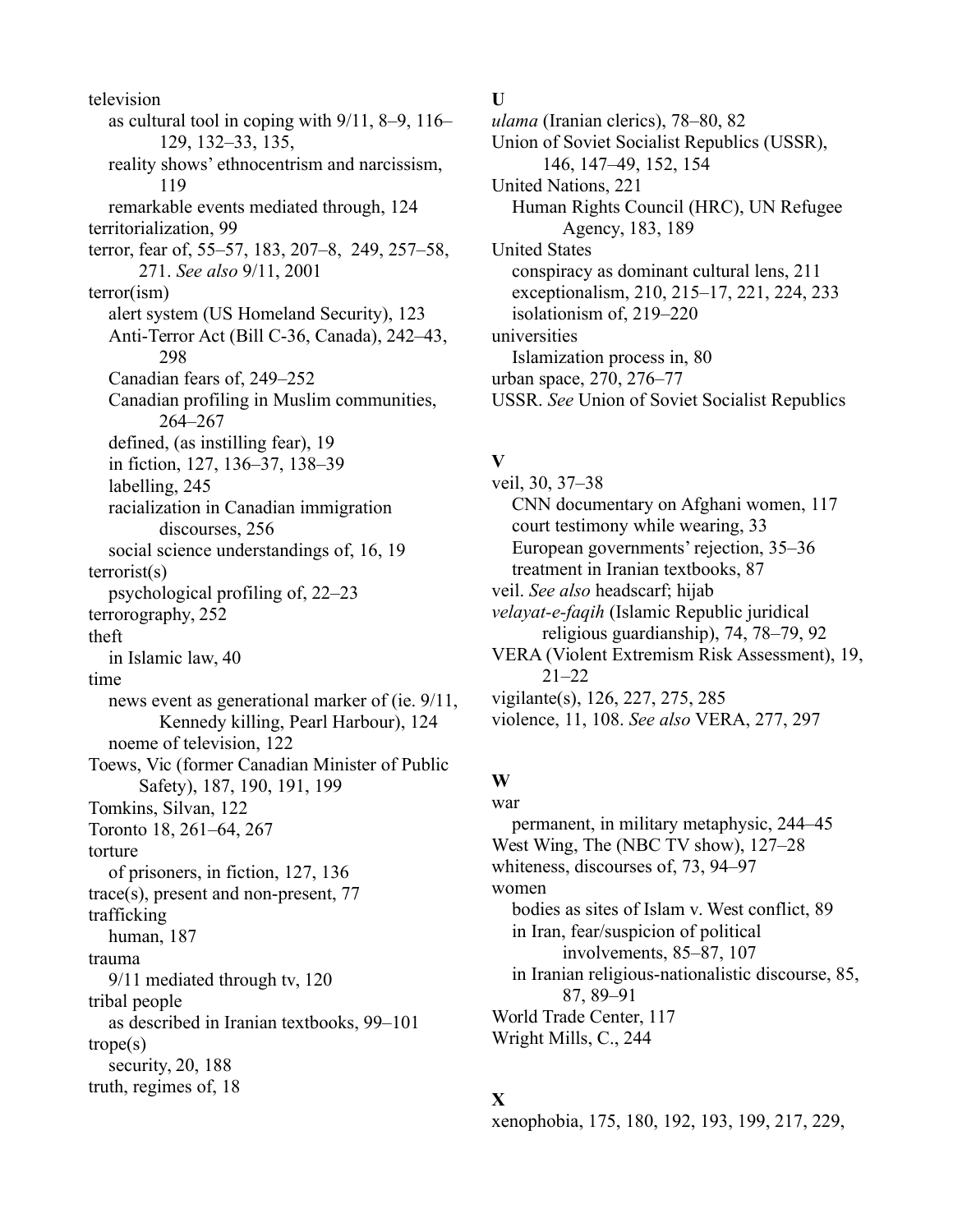television as cultural tool in coping with 9/11, 8–9, 116– 129, 132–33, 135, reality shows' ethnocentrism and narcissism, 119 remarkable events mediated through, 124 territorialization, 99 terror, fear of, 55–57, 183, 207–8, 249, 257–58, 271. *See also* 9/11, 2001 terror(ism) alert system (US Homeland Security), 123 Anti-Terror Act (Bill C-36, Canada), 242–43, 298 Canadian fears of, 249–252 Canadian profiling in Muslim communities, 264–267 defined, (as instilling fear), 19 in fiction, 127, 136–37, 138–39 labelling, 245 racialization in Canadian immigration discourses, 256 social science understandings of, 16, 19 terrorist(s) psychological profiling of, 22–23 terrorography, 252 theft in Islamic law, 40 time news event as generational marker of (ie. 9/11, Kennedy killing, Pearl Harbour), 124 noeme of television, 122 Toews, Vic (former Canadian Minister of Public Safety), 187, 190, 191, 199 Tomkins, Silvan, 122 Toronto 18, 261–64, 267 torture of prisoners, in fiction, 127, 136 trace(s), present and non-present, 77 trafficking human, 187 trauma 9/11 mediated through tv, 120 tribal people as described in Iranian textbooks, 99–101 trope(s) security, 20, 188 truth, regimes of, 18

**U**

*ulama* (Iranian clerics), 78–80, 82 Union of Soviet Socialist Republics (USSR), 146, 147–49, 152, 154 United Nations, 221 Human Rights Council (HRC), UN Refugee Agency, 183, 189 United States conspiracy as dominant cultural lens, 211 exceptionalism, 210, 215–17, 221, 224, 233 isolationism of, 219–220 universities Islamization process in, 80 urban space, 270, 276–77 USSR. *See* Union of Soviet Socialist Republics

### **V**

veil, 30, 37–38 CNN documentary on Afghani women, 117 court testimony while wearing, 33 European governments' rejection, 35–36 treatment in Iranian textbooks, 87 veil. *See also* headscarf; hijab *velayat-e-faqih* (Islamic Republic juridical religious guardianship), 74, 78–79, 92 VERA (Violent Extremism Risk Assessment), 19, 21–22 vigilante(s), 126, 227, 275, 285 violence, 11, 108. *See also* VERA, 277, 297

#### **W** war

permanent, in military metaphysic, 244–45 West Wing, The (NBC TV show), 127–28 whiteness, discourses of, 73, 94–97 women bodies as sites of Islam v. West conflict, 89 in Iran, fear/suspicion of political involvements, 85–87, 107 in Iranian religious-nationalistic discourse, 85, 87, 89–91 World Trade Center, 117 Wright Mills, C., 244

# **X**

xenophobia, 175, 180, 192, 193, 199, 217, 229,